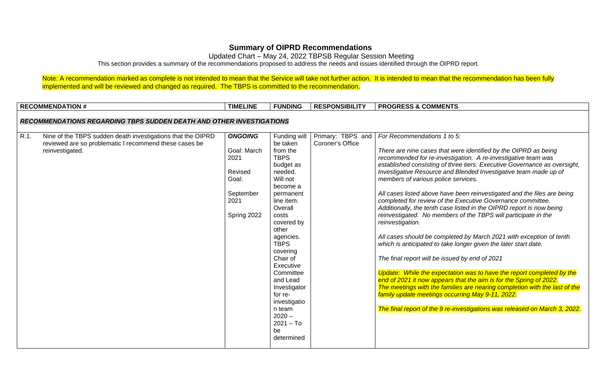## **Summary of OIPRD Recommendations**

Updated Chart – May 24, 2022 TBPSB Regular Session Meeting

This section provides a summary of the recommendations proposed to address the needs and issues identified through the OIPRD report.

Note: A recommendation marked as complete is not intended to mean that the Service will take not further action. It is intended to mean that the recommendation has been fully implemented and will be reviewed and changed as required. The TBPS is committed to the recommendation.

|      | <b>RECOMMENDATION#</b>                                                      | <b>TIMELINE</b> | <b>FUNDING</b>        | <b>RESPONSIBILITY</b> | <b>PROGRESS &amp; COMMENTS</b>                                                                                                         |
|------|-----------------------------------------------------------------------------|-----------------|-----------------------|-----------------------|----------------------------------------------------------------------------------------------------------------------------------------|
|      |                                                                             |                 |                       |                       |                                                                                                                                        |
|      | <b>RECOMMENDATIONS REGARDING TBPS SUDDEN DEATH AND OTHER INVESTIGATIONS</b> |                 |                       |                       |                                                                                                                                        |
| R.1. | Nine of the TBPS sudden death investigations that the OIPRD                 | <b>ONGOING</b>  | Funding will          | Primary: TBPS and     | For Recommendations 1 to 5:                                                                                                            |
|      | reviewed are so problematic I recommend these cases be                      |                 | be taken              | Coroner's Office      |                                                                                                                                        |
|      | reinvestigated.                                                             | Goal: March     | from the              |                       | There are nine cases that were identified by the OIPRD as being                                                                        |
|      |                                                                             | 2021            | <b>TBPS</b>           |                       | recommended for re-investigation. A re-investigative team was                                                                          |
|      |                                                                             |                 | budget as             |                       | established consisting of three tiers: Executive Governance as oversight,                                                              |
|      |                                                                             | Revised         | needed.               |                       | Investigative Resource and Blended Investigative team made up of                                                                       |
|      |                                                                             | Goal:           | Will not              |                       | members of various police services.                                                                                                    |
|      |                                                                             |                 | become a              |                       |                                                                                                                                        |
|      |                                                                             | September       | permanent             |                       | All cases listed above have been reinvestigated and the files are being                                                                |
|      |                                                                             | 2021            | line item.<br>Overall |                       | completed for review of the Executive Governance committee.                                                                            |
|      |                                                                             |                 |                       |                       | Additionally, the tenth case listed in the OIPRD report is now being<br>reinvestigated. No members of the TBPS will participate in the |
|      |                                                                             | Spring 2022     | costs<br>covered by   |                       | reinvestigation.                                                                                                                       |
|      |                                                                             |                 | other                 |                       |                                                                                                                                        |
|      |                                                                             |                 | agencies.             |                       | All cases should be completed by March 2021 with exception of tenth                                                                    |
|      |                                                                             |                 | <b>TBPS</b>           |                       | which is anticipated to take longer given the later start date.                                                                        |
|      |                                                                             |                 | covering              |                       |                                                                                                                                        |
|      |                                                                             |                 | Chair of              |                       | The final report will be issued by end of 2021                                                                                         |
|      |                                                                             |                 | Executive             |                       |                                                                                                                                        |
|      |                                                                             |                 | Committee             |                       | Update: While the expectation was to have the report completed by the                                                                  |
|      |                                                                             |                 | and Lead              |                       | end of 2021 it now appears that the aim is for the Spring of 2022.                                                                     |
|      |                                                                             |                 | Investigator          |                       | The meetings with the families are nearing completion with the last of the                                                             |
|      |                                                                             |                 | for re-               |                       | family update meetings occurring May 9-11, 2022.                                                                                       |
|      |                                                                             |                 | investigatio          |                       |                                                                                                                                        |
|      |                                                                             |                 | n team<br>$2020 -$    |                       | The final report of the 9 re-investigations was released on March 3, 2022.                                                             |
|      |                                                                             |                 | $2021 - To$           |                       |                                                                                                                                        |
|      |                                                                             |                 | be                    |                       |                                                                                                                                        |
|      |                                                                             |                 | determined            |                       |                                                                                                                                        |
|      |                                                                             |                 |                       |                       |                                                                                                                                        |
|      |                                                                             |                 |                       |                       |                                                                                                                                        |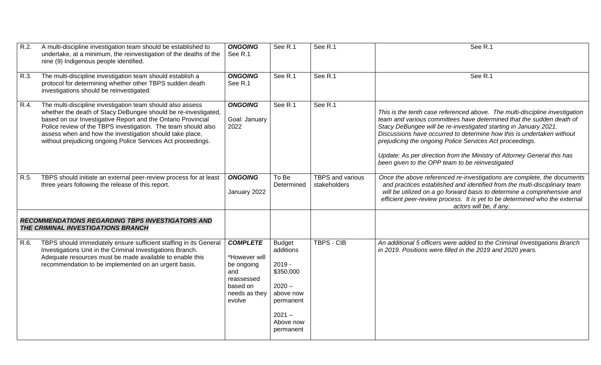| R.2  | A multi-discipline investigation team should be established to<br>undertake, at a minimum, the reinvestigation of the deaths of the<br>nine (9) Indigenous people identified.                                                                                                                                                                                                             | <b>ONGOING</b><br>See R.1                                                                                  | See R.1                                                                                                                         | See R.1                          | See R.1                                                                                                                                                                                                                                                                                                                                                                                                                                                                                    |
|------|-------------------------------------------------------------------------------------------------------------------------------------------------------------------------------------------------------------------------------------------------------------------------------------------------------------------------------------------------------------------------------------------|------------------------------------------------------------------------------------------------------------|---------------------------------------------------------------------------------------------------------------------------------|----------------------------------|--------------------------------------------------------------------------------------------------------------------------------------------------------------------------------------------------------------------------------------------------------------------------------------------------------------------------------------------------------------------------------------------------------------------------------------------------------------------------------------------|
| R.3. | The multi-discipline investigation team should establish a<br>protocol for determining whether other TBPS sudden death<br>investigations should be reinvestigated.                                                                                                                                                                                                                        | <b>ONGOING</b><br>See R.1                                                                                  | See R.1                                                                                                                         | See R.1                          | See R.1                                                                                                                                                                                                                                                                                                                                                                                                                                                                                    |
| R.4. | The multi-discipline investigation team should also assess<br>whether the death of Stacy DeBungee should be re-investigated,<br>based on our Investigative Report and the Ontario Provincial<br>Police review of the TBPS investigation. The team should also<br>assess when and how the investigation should take place,<br>without prejudicing ongoing Police Services Act proceedings. | <b>ONGOING</b><br>Goal: January<br>2022                                                                    | See R.1                                                                                                                         | See R.1                          | This is the tenth case referenced above. The multi-discipline investigation<br>team and various committees have determined that the sudden death of<br>Stacy DeBungee will be re-investigated starting in January 2021.<br>Discussions have occurred to determine how this is undertaken without<br>prejudicing the ongoing Police Services Act proceedings.<br>Update: As per direction from the Ministry of Attorney General this has<br>been given to the OPP team to be reinvestigated |
| R.5. | TBPS should initiate an external peer-review process for at least<br>three years following the release of this report.                                                                                                                                                                                                                                                                    | <b>ONGOING</b><br>January 2022                                                                             | To Be<br>Determined                                                                                                             | TBPS and various<br>stakeholders | Once the above referenced re-investigations are complete, the documents<br>and practices established and identified from the multi-disciplinary team<br>will be utilized on a go forward basis to determine a comprehensive and<br>efficient peer-review process. It is yet to be determined who the external<br>actors will be, if any.                                                                                                                                                   |
|      | <b>RECOMMENDATIONS REGARDING TBPS INVESTIGATORS AND</b><br>THE CRIMINAL INVESTIGATIONS BRANCH                                                                                                                                                                                                                                                                                             |                                                                                                            |                                                                                                                                 |                                  |                                                                                                                                                                                                                                                                                                                                                                                                                                                                                            |
| R.6. | TBPS should immediately ensure sufficient staffing in its General<br>Investigations Unit in the Criminal Investigations Branch.<br>Adequate resources must be made available to enable this<br>recommendation to be implemented on an urgent basis.                                                                                                                                       | <b>COMPLETE</b><br>*However will<br>be ongoing<br>and<br>reassessed<br>based on<br>needs as they<br>evolve | <b>Budget</b><br>additions<br>$2019 -$<br>\$350,000<br>$2020 -$<br>above now<br>permanent<br>$2021 -$<br>Above now<br>permanent | TBPS - CIB                       | An additional 5 officers were added to the Criminal Investigations Branch<br>in 2019. Positions were filled in the 2019 and 2020 years.                                                                                                                                                                                                                                                                                                                                                    |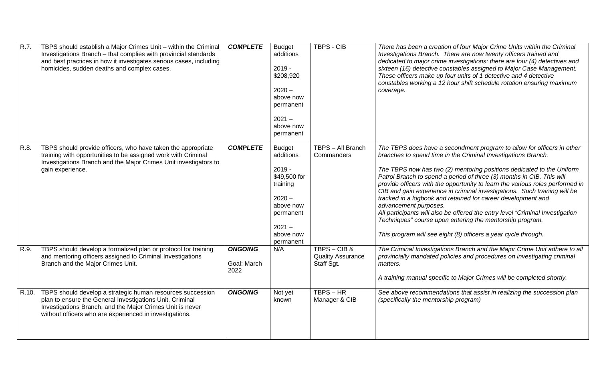| R.7. | TBPS should establish a Major Crimes Unit - within the Criminal<br>Investigations Branch - that complies with provincial standards<br>and best practices in how it investigates serious cases, including<br>homicides, sudden deaths and complex cases. | <b>COMPLETE</b>                       | <b>Budget</b><br>additions<br>$2019 -$<br>\$208,920<br>$2020 -$<br>above now<br>permanent<br>$2021 -$<br>above now<br>permanent                | <b>TBPS - CIB</b>                                      | There has been a creation of four Major Crime Units within the Criminal<br>Investigations Branch. There are now twenty officers trained and<br>dedicated to major crime investigations; there are four (4) detectives and<br>sixteen (16) detective constables assigned to Major Case Management.<br>These officers make up four units of 1 detective and 4 detective<br>constables working a 12 hour shift schedule rotation ensuring maximum<br>coverage.                                                                                                                                                                                                                                                                                                     |
|------|---------------------------------------------------------------------------------------------------------------------------------------------------------------------------------------------------------------------------------------------------------|---------------------------------------|------------------------------------------------------------------------------------------------------------------------------------------------|--------------------------------------------------------|-----------------------------------------------------------------------------------------------------------------------------------------------------------------------------------------------------------------------------------------------------------------------------------------------------------------------------------------------------------------------------------------------------------------------------------------------------------------------------------------------------------------------------------------------------------------------------------------------------------------------------------------------------------------------------------------------------------------------------------------------------------------|
| R.8. | TBPS should provide officers, who have taken the appropriate<br>training with opportunities to be assigned work with Criminal<br>Investigations Branch and the Major Crimes Unit investigators to<br>gain experience.                                   | <b>COMPLETE</b>                       | <b>Budget</b><br>additions<br>$2019 -$<br>\$49,500 for<br>training<br>$2020 -$<br>above now<br>permanent<br>$2021 -$<br>above now<br>permanent | TBPS - All Branch<br>Commanders                        | The TBPS does have a secondment program to allow for officers in other<br>branches to spend time in the Criminal Investigations Branch.<br>The TBPS now has two (2) mentoring positions dedicated to the Uniform<br>Patrol Branch to spend a period of three (3) months in CIB. This will<br>provide officers with the opportunity to learn the various roles performed in<br>CIB and gain experience in criminal investigations. Such training will be<br>tracked in a logbook and retained for career development and<br>advancement purposes.<br>All participants will also be offered the entry level "Criminal Investigation<br>Techniques" course upon entering the mentorship program.<br>This program will see eight (8) officers a year cycle through. |
| R.9. | TBPS should develop a formalized plan or protocol for training<br>and mentoring officers assigned to Criminal Investigations<br>Branch and the Major Crimes Unit.                                                                                       | <b>ONGOING</b><br>Goal: March<br>2022 | N/A                                                                                                                                            | TBPS - CIB &<br><b>Quality Assurance</b><br>Staff Sgt. | The Criminal Investigations Branch and the Major Crime Unit adhere to all<br>provincially mandated policies and procedures on investigating criminal<br>matters.<br>A training manual specific to Major Crimes will be completed shortly.                                                                                                                                                                                                                                                                                                                                                                                                                                                                                                                       |
|      | R.10. TBPS should develop a strategic human resources succession<br>plan to ensure the General Investigations Unit, Criminal<br>Investigations Branch, and the Major Crimes Unit is never<br>without officers who are experienced in investigations.    | <b>ONGOING</b>                        | Not yet<br>known                                                                                                                               | $TBPS - HR$<br>Manager & CIB                           | See above recommendations that assist in realizing the succession plan<br>(specifically the mentorship program)                                                                                                                                                                                                                                                                                                                                                                                                                                                                                                                                                                                                                                                 |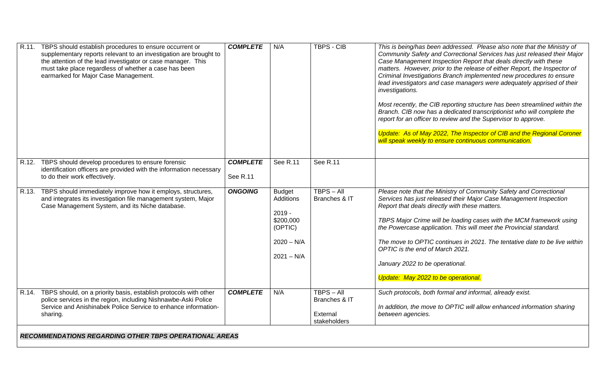|       | R.11. TBPS should establish procedures to ensure occurrent or<br>supplementary reports relevant to an investigation are brought to<br>the attention of the lead investigator or case manager. This<br>must take place regardless of whether a case has been<br>earmarked for Major Case Management. | <b>COMPLETE</b> | N/A                                                                                                   | <b>TBPS - CIB</b>                                         | This is being/has been addressed. Please also note that the Ministry of<br>Community Safety and Correctional Services has just released their Major<br>Case Management Inspection Report that deals directly with these<br>matters. However, prior to the release of either Report, the Inspector of<br>Criminal Investigations Branch implemented new procedures to ensure<br>lead investigators and case managers were adequately apprised of their<br>investigations.<br>Most recently, the CIB reporting structure has been streamlined within the<br>Branch. CIB now has a dedicated transcriptionist who will complete the<br>report for an officer to review and the Supervisor to approve.<br>Update: As of May 2022, The Inspector of CIB and the Regional Coroner<br>will speak weekly to ensure continuous communication. |
|-------|-----------------------------------------------------------------------------------------------------------------------------------------------------------------------------------------------------------------------------------------------------------------------------------------------------|-----------------|-------------------------------------------------------------------------------------------------------|-----------------------------------------------------------|--------------------------------------------------------------------------------------------------------------------------------------------------------------------------------------------------------------------------------------------------------------------------------------------------------------------------------------------------------------------------------------------------------------------------------------------------------------------------------------------------------------------------------------------------------------------------------------------------------------------------------------------------------------------------------------------------------------------------------------------------------------------------------------------------------------------------------------|
|       | R.12. TBPS should develop procedures to ensure forensic                                                                                                                                                                                                                                             | <b>COMPLETE</b> | See R.11                                                                                              | See R.11                                                  |                                                                                                                                                                                                                                                                                                                                                                                                                                                                                                                                                                                                                                                                                                                                                                                                                                      |
|       | identification officers are provided with the information necessary<br>to do their work effectively.                                                                                                                                                                                                | See R.11        |                                                                                                       |                                                           |                                                                                                                                                                                                                                                                                                                                                                                                                                                                                                                                                                                                                                                                                                                                                                                                                                      |
| R.13. | TBPS should immediately improve how it employs, structures,<br>and integrates its investigation file management system, Major<br>Case Management System, and its Niche database.                                                                                                                    | <b>ONGOING</b>  | <b>Budget</b><br><b>Additions</b><br>$2019 -$<br>\$200,000<br>(OPTIC)<br>$2020 - N/A$<br>$2021 - N/A$ | $TBPS - All$<br>Branches & IT                             | Please note that the Ministry of Community Safety and Correctional<br>Services has just released their Major Case Management Inspection<br>Report that deals directly with these matters.<br>TBPS Major Crime will be loading cases with the MCM framework using<br>the Powercase application. This will meet the Provincial standard.<br>The move to OPTIC continues in 2021. The tentative date to be live within<br>OPTIC is the end of March 2021.<br>January 2022 to be operational.<br>Update: May 2022 to be operational.                                                                                                                                                                                                                                                                                                     |
|       | R.14. TBPS should, on a priority basis, establish protocols with other<br>police services in the region, including Nishnawbe-Aski Police<br>Service and Anishinabek Police Service to enhance information-<br>sharing.                                                                              | <b>COMPLETE</b> | N/A                                                                                                   | $TBPS - All$<br>Branches & IT<br>External<br>stakeholders | Such protocols, both formal and informal, already exist.<br>In addition, the move to OPTIC will allow enhanced information sharing<br>between agencies.                                                                                                                                                                                                                                                                                                                                                                                                                                                                                                                                                                                                                                                                              |
|       | <b>RECOMMENDATIONS REGARDING OTHER TBPS OPERATIONAL AREAS</b>                                                                                                                                                                                                                                       |                 |                                                                                                       |                                                           |                                                                                                                                                                                                                                                                                                                                                                                                                                                                                                                                                                                                                                                                                                                                                                                                                                      |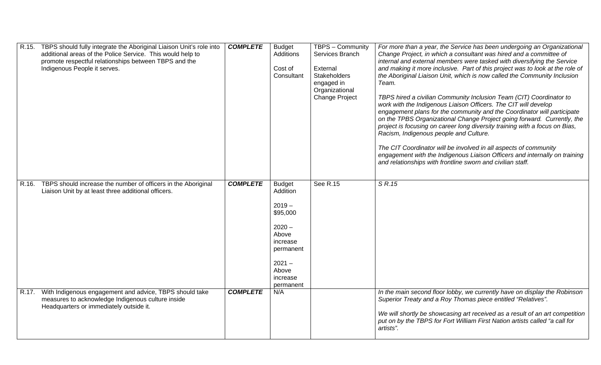|       | R.15. TBPS should fully integrate the Aboriginal Liaison Unit's role into<br>additional areas of the Police Service. This would help to<br>promote respectful relationships between TBPS and the<br>Indigenous People it serves. | <b>COMPLETE</b> | <b>Budget</b><br><b>Additions</b><br>Cost of<br>Consultant                                                                                    | TBPS - Community<br>Services Branch<br>External<br>Stakeholders<br>engaged in<br>Organizational<br><b>Change Project</b> | For more than a year, the Service has been undergoing an Organizational<br>Change Project, in which a consultant was hired and a committee of<br>internal and external members were tasked with diversifying the Service<br>and making it more inclusive. Part of this project was to look at the role of<br>the Aboriginal Liaison Unit, which is now called the Community Inclusion<br>Team.<br>TBPS hired a civilian Community Inclusion Team (CIT) Coordinator to<br>work with the Indigenous Liaison Officers. The CIT will develop<br>engagement plans for the community and the Coordinator will participate<br>on the TPBS Organizational Change Project going forward. Currently, the<br>project is focusing on career long diversity training with a focus on Bias,<br>Racism, Indigenous people and Culture.<br>The CIT Coordinator will be involved in all aspects of community<br>engagement with the Indigenous Liaison Officers and internally on training<br>and relationships with frontline sworn and civilian staff. |
|-------|----------------------------------------------------------------------------------------------------------------------------------------------------------------------------------------------------------------------------------|-----------------|-----------------------------------------------------------------------------------------------------------------------------------------------|--------------------------------------------------------------------------------------------------------------------------|-----------------------------------------------------------------------------------------------------------------------------------------------------------------------------------------------------------------------------------------------------------------------------------------------------------------------------------------------------------------------------------------------------------------------------------------------------------------------------------------------------------------------------------------------------------------------------------------------------------------------------------------------------------------------------------------------------------------------------------------------------------------------------------------------------------------------------------------------------------------------------------------------------------------------------------------------------------------------------------------------------------------------------------------|
| R.16. | TBPS should increase the number of officers in the Aboriginal<br>Liaison Unit by at least three additional officers.                                                                                                             | <b>COMPLETE</b> | <b>Budget</b><br>Addition<br>$2019 -$<br>\$95,000<br>$2020 -$<br>Above<br>increase<br>permanent<br>$2021 -$<br>Above<br>increase<br>permanent | See R.15                                                                                                                 | S R.15                                                                                                                                                                                                                                                                                                                                                                                                                                                                                                                                                                                                                                                                                                                                                                                                                                                                                                                                                                                                                                  |
|       | R.17. With Indigenous engagement and advice, TBPS should take<br>measures to acknowledge Indigenous culture inside<br>Headquarters or immediately outside it.                                                                    | <b>COMPLETE</b> | N/A                                                                                                                                           |                                                                                                                          | In the main second floor lobby, we currently have on display the Robinson<br>Superior Treaty and a Roy Thomas piece entitled "Relatives".<br>We will shortly be showcasing art received as a result of an art competition<br>put on by the TBPS for Fort William First Nation artists called "a call for<br>artists".                                                                                                                                                                                                                                                                                                                                                                                                                                                                                                                                                                                                                                                                                                                   |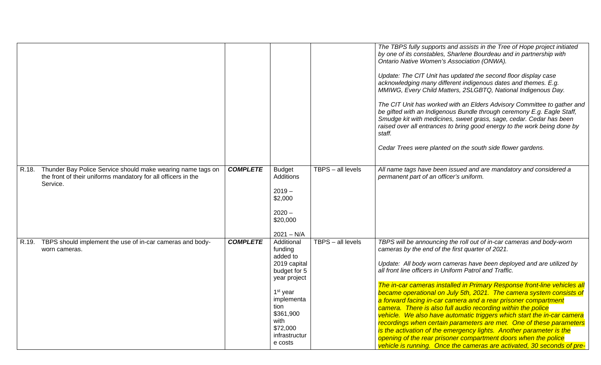|          |                                                                                                                                    |                 |                                                                                                                                                                                              |                     | The TBPS fully supports and assists in the Tree of Hope project initiated<br>by one of its constables, Sharlene Bourdeau and in partnership with<br>Ontario Native Women's Association (ONWA).<br>Update: The CIT Unit has updated the second floor display case<br>acknowledging many different indigenous dates and themes. E.g.<br>MMIWG, Every Child Matters, 2SLGBTQ, National Indigenous Day.<br>The CIT Unit has worked with an Elders Advisory Committee to gather and<br>be gifted with an Indigenous Bundle through ceremony E.g. Eagle Staff,<br>Smudge kit with medicines, sweet grass, sage, cedar. Cedar has been<br>raised over all entrances to bring good energy to the work being done by<br>staff.<br>Cedar Trees were planted on the south side flower gardens.                                                                                                                                 |
|----------|------------------------------------------------------------------------------------------------------------------------------------|-----------------|----------------------------------------------------------------------------------------------------------------------------------------------------------------------------------------------|---------------------|---------------------------------------------------------------------------------------------------------------------------------------------------------------------------------------------------------------------------------------------------------------------------------------------------------------------------------------------------------------------------------------------------------------------------------------------------------------------------------------------------------------------------------------------------------------------------------------------------------------------------------------------------------------------------------------------------------------------------------------------------------------------------------------------------------------------------------------------------------------------------------------------------------------------|
| Service. | R.18. Thunder Bay Police Service should make wearing name tags on<br>the front of their uniforms mandatory for all officers in the | <b>COMPLETE</b> | <b>Budget</b><br>Additions<br>$2019 -$<br>\$2,000<br>$2020 -$<br>\$20,000<br>$2021 - N/A$                                                                                                    | TBPS - all levels   | All name tags have been issued and are mandatory and considered a<br>permanent part of an officer's uniform.                                                                                                                                                                                                                                                                                                                                                                                                                                                                                                                                                                                                                                                                                                                                                                                                        |
| R.19.    | TBPS should implement the use of in-car cameras and body-<br>worn cameras.                                                         | <b>COMPLETE</b> | Additional<br>funding<br>added to<br>2019 capital<br>budget for 5<br>year project<br>1 <sup>st</sup> year<br>implementa<br>tion<br>\$361,900<br>with<br>\$72,000<br>infrastructur<br>e costs | $TBPS - all levels$ | TBPS will be announcing the roll out of in-car cameras and body-worn<br>cameras by the end of the first quarter of 2021.<br>Update: All body worn cameras have been deployed and are utilized by<br>all front line officers in Uniform Patrol and Traffic.<br>The in-car cameras installed in Primary Response front-line vehicles all<br>became operational on July 5th, 2021. The camera system consists of<br>a forward facing in-car camera and a rear prisoner compartment<br>camera. There is also full audio recording within the police<br>vehicle. We also have automatic triggers which start the in-car camera<br>recordings when certain parameters are met. One of these parameters<br>is the activation of the emergency lights. Another parameter is the<br>opening of the rear prisoner compartment doors when the police<br>vehicle is running. Once the cameras are activated, 30 seconds of pre- |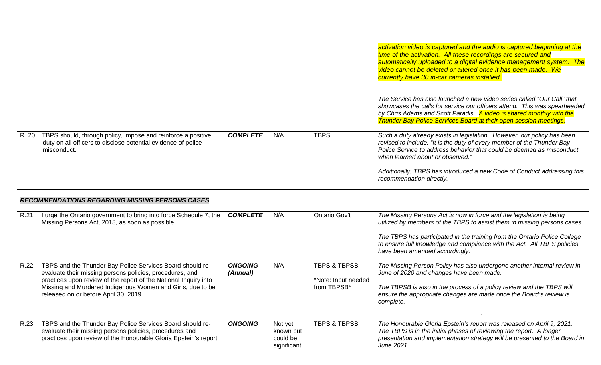|       |                                                                                                                                                                                                                                                                                                  |                            |                                                 |                                                               | activation video is captured and the audio is captured beginning at the<br>time of the activation. All these recordings are secured and<br>automatically uploaded to a digital evidence management system. The<br>video cannot be deleted or altered once it has been made. We<br>currently have 30 in-car cameras installed.<br>The Service has also launched a new video series called "Our Call" that<br>showcases the calls for service our officers attend. This was spearheaded<br>by Chris Adams and Scott Paradis. A video is shared monthly with the<br><b>Thunder Bay Police Services Board at their open session meetings.</b> |
|-------|--------------------------------------------------------------------------------------------------------------------------------------------------------------------------------------------------------------------------------------------------------------------------------------------------|----------------------------|-------------------------------------------------|---------------------------------------------------------------|-------------------------------------------------------------------------------------------------------------------------------------------------------------------------------------------------------------------------------------------------------------------------------------------------------------------------------------------------------------------------------------------------------------------------------------------------------------------------------------------------------------------------------------------------------------------------------------------------------------------------------------------|
|       | R. 20. TBPS should, through policy, impose and reinforce a positive<br>duty on all officers to disclose potential evidence of police<br>misconduct.                                                                                                                                              | <b>COMPLETE</b>            | N/A                                             | <b>TBPS</b>                                                   | Such a duty already exists in legislation. However, our policy has been<br>revised to include: "It is the duty of every member of the Thunder Bay<br>Police Service to address behavior that could be deemed as misconduct<br>when learned about or observed."<br>Additionally, TBPS has introduced a new Code of Conduct addressing this<br>recommendation directly.                                                                                                                                                                                                                                                                     |
|       | <b>RECOMMENDATIONS REGARDING MISSING PERSONS CASES</b>                                                                                                                                                                                                                                           |                            |                                                 |                                                               |                                                                                                                                                                                                                                                                                                                                                                                                                                                                                                                                                                                                                                           |
|       | R.21. I urge the Ontario government to bring into force Schedule 7, the<br>Missing Persons Act, 2018, as soon as possible.                                                                                                                                                                       | <b>COMPLETE</b>            | N/A                                             | Ontario Gov't                                                 | The Missing Persons Act is now in force and the legislation is being<br>utilized by members of the TBPS to assist them in missing persons cases.<br>The TBPS has participated in the training from the Ontario Police College<br>to ensure full knowledge and compliance with the Act. All TBPS policies<br>have been amended accordingly.                                                                                                                                                                                                                                                                                                |
| R.22. | TBPS and the Thunder Bay Police Services Board should re-<br>evaluate their missing persons policies, procedures, and<br>practices upon review of the report of the National Inquiry into<br>Missing and Murdered Indigenous Women and Girls, due to be<br>released on or before April 30, 2019. | <b>ONGOING</b><br>(Annual) | N/A                                             | <b>TBPS &amp; TBPSB</b><br>*Note: Input needed<br>from TBPSB* | The Missing Person Policy has also undergone another internal review in<br>June of 2020 and changes have been made.<br>The TBPSB is also in the process of a policy review and the TBPS will<br>ensure the appropriate changes are made once the Board's review is<br>complete.                                                                                                                                                                                                                                                                                                                                                           |
| R.23. | TBPS and the Thunder Bay Police Services Board should re-<br>evaluate their missing persons policies, procedures and<br>practices upon review of the Honourable Gloria Epstein's report                                                                                                          | <b>ONGOING</b>             | Not yet<br>known but<br>could be<br>significant | <b>TBPS &amp; TBPSB</b>                                       | The Honourable Gloria Epstein's report was released on April 9, 2021.<br>The TBPS is in the initial phases of reviewing the report. A longer<br>presentation and implementation strategy will be presented to the Board in<br>June 2021.                                                                                                                                                                                                                                                                                                                                                                                                  |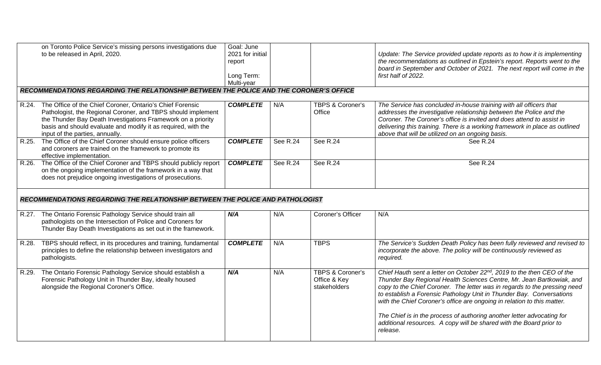|       | on Toronto Police Service's missing persons investigations due<br>to be released in April, 2020.                                                                                                                                                                                                    | Goal: June<br>2021 for initial<br>report<br>Long Term:<br>Multi-year |          |                            | Update: The Service provided update reports as to how it is implementing<br>the recommendations as outlined in Epstein's report. Reports went to the<br>board in September and October of 2021. The next report will come in the<br>first half of 2022.                                                                                               |
|-------|-----------------------------------------------------------------------------------------------------------------------------------------------------------------------------------------------------------------------------------------------------------------------------------------------------|----------------------------------------------------------------------|----------|----------------------------|-------------------------------------------------------------------------------------------------------------------------------------------------------------------------------------------------------------------------------------------------------------------------------------------------------------------------------------------------------|
|       | RECOMMENDATIONS REGARDING THE RELATIONSHIP BETWEEN THE POLICE AND THE CORONER'S OFFICE                                                                                                                                                                                                              |                                                                      |          |                            |                                                                                                                                                                                                                                                                                                                                                       |
|       | R.24. The Office of the Chief Coroner, Ontario's Chief Forensic<br>Pathologist, the Regional Coroner, and TBPS should implement<br>the Thunder Bay Death Investigations Framework on a priority<br>basis and should evaluate and modify it as required, with the<br>input of the parties, annually. | <b>COMPLETE</b>                                                      | N/A      | TBPS & Coroner's<br>Office | The Service has concluded in-house training with all officers that<br>addresses the investigative relationship between the Police and the<br>Coroner. The Coroner's office is invited and does attend to assist in<br>delivering this training. There is a working framework in place as outlined<br>above that will be utilized on an ongoing basis. |
|       | R.25. The Office of the Chief Coroner should ensure police officers<br>and coroners are trained on the framework to promote its<br>effective implementation.                                                                                                                                        | <b>COMPLETE</b>                                                      | See R.24 | See R.24                   | <b>See R.24</b>                                                                                                                                                                                                                                                                                                                                       |
|       | R.26. The Office of the Chief Coroner and TBPS should publicly report<br>on the ongoing implementation of the framework in a way that<br>does not prejudice ongoing investigations of prosecutions.                                                                                                 | <b>COMPLETE</b>                                                      | See R.24 | See R.24                   | See R.24                                                                                                                                                                                                                                                                                                                                              |
|       | RECOMMENDATIONS REGARDING THE RELATIONSHIP BETWEEN THE POLICE AND PATHOLOGIST                                                                                                                                                                                                                       |                                                                      |          |                            |                                                                                                                                                                                                                                                                                                                                                       |
|       | R.27. The Ontario Forensic Pathology Service should train all                                                                                                                                                                                                                                       | N/A                                                                  | N/A      |                            |                                                                                                                                                                                                                                                                                                                                                       |
|       | pathologists on the Intersection of Police and Coroners for<br>Thunder Bay Death Investigations as set out in the framework.                                                                                                                                                                        |                                                                      |          | Coroner's Officer          | N/A                                                                                                                                                                                                                                                                                                                                                   |
| R.28. | TBPS should reflect, in its procedures and training, fundamental<br>principles to define the relationship between investigators and<br>pathologists.                                                                                                                                                | <b>COMPLETE</b>                                                      | N/A      | <b>TBPS</b>                | The Service's Sudden Death Policy has been fully reviewed and revised to<br>incorporate the above. The policy will be continuously reviewed as<br>required.                                                                                                                                                                                           |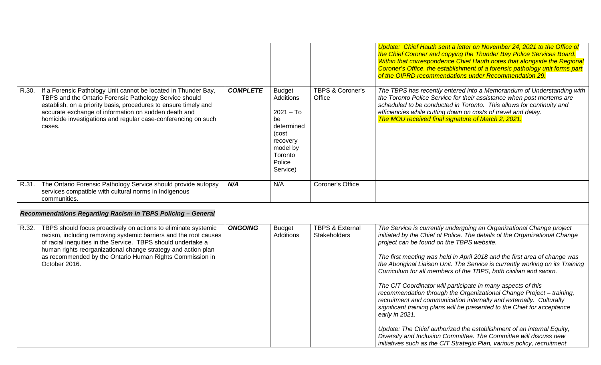|       |                                                                                                                                                                                                                                                                                                                                                        |                 |                                                                                                                                        |                                                   | Update: Chief Hauth sent a letter on November 24, 2021 to the Office of<br>the Chief Coroner and copying the Thunder Bay Police Services Board.<br>Within that correspondence Chief Hauth notes that alongside the Regional<br>Coroner's Office, the establishment of a forensic pathology unit forms part<br>of the OIPRD recommendations under Recommendation 29.                                                                                                                                                                                                                                                                                                                                                                                                                                                                                                                                                                                                     |
|-------|--------------------------------------------------------------------------------------------------------------------------------------------------------------------------------------------------------------------------------------------------------------------------------------------------------------------------------------------------------|-----------------|----------------------------------------------------------------------------------------------------------------------------------------|---------------------------------------------------|-------------------------------------------------------------------------------------------------------------------------------------------------------------------------------------------------------------------------------------------------------------------------------------------------------------------------------------------------------------------------------------------------------------------------------------------------------------------------------------------------------------------------------------------------------------------------------------------------------------------------------------------------------------------------------------------------------------------------------------------------------------------------------------------------------------------------------------------------------------------------------------------------------------------------------------------------------------------------|
| R.30. | If a Forensic Pathology Unit cannot be located in Thunder Bay,<br>TBPS and the Ontario Forensic Pathology Service should<br>establish, on a priority basis, procedures to ensure timely and<br>accurate exchange of information on sudden death and<br>homicide investigations and regular case-conferencing on such<br>cases.                         | <b>COMPLETE</b> | <b>Budget</b><br><b>Additions</b><br>$2021 - To$<br>be<br>determined<br>(cost<br>recovery<br>model by<br>Toronto<br>Police<br>Service) | <b>TBPS &amp; Coroner's</b><br>Office             | The TBPS has recently entered into a Memorandum of Understanding with<br>the Toronto Police Service for their assistance when post mortems are<br>scheduled to be conducted in Toronto. This allows for continuity and<br>efficiencies while cutting down on costs of travel and delay.<br>The MOU received final signature of March 2, 2021.                                                                                                                                                                                                                                                                                                                                                                                                                                                                                                                                                                                                                           |
|       | R.31. The Ontario Forensic Pathology Service should provide autopsy<br>services compatible with cultural norms in Indigenous<br>communities.                                                                                                                                                                                                           | N/A             | N/A                                                                                                                                    | Coroner's Office                                  |                                                                                                                                                                                                                                                                                                                                                                                                                                                                                                                                                                                                                                                                                                                                                                                                                                                                                                                                                                         |
|       | Recommendations Regarding Racism in TBPS Policing - General                                                                                                                                                                                                                                                                                            |                 |                                                                                                                                        |                                                   |                                                                                                                                                                                                                                                                                                                                                                                                                                                                                                                                                                                                                                                                                                                                                                                                                                                                                                                                                                         |
|       | R.32. TBPS should focus proactively on actions to eliminate systemic<br>racism, including removing systemic barriers and the root causes<br>of racial inequities in the Service. TBPS should undertake a<br>human rights reorganizational change strategy and action plan<br>as recommended by the Ontario Human Rights Commission in<br>October 2016. | <b>ONGOING</b>  | <b>Budget</b><br><b>Additions</b>                                                                                                      | <b>TBPS &amp; External</b><br><b>Stakeholders</b> | The Service is currently undergoing an Organizational Change project<br>initiated by the Chief of Police. The details of the Organizational Change<br>project can be found on the TBPS website.<br>The first meeting was held in April 2018 and the first area of change was<br>the Aboriginal Liaison Unit. The Service is currently working on its Training<br>Curriculum for all members of the TBPS, both civilian and sworn.<br>The CIT Coordinator will participate in many aspects of this<br>recommendation through the Organizational Change Project - training,<br>recruitment and communication internally and externally. Culturally<br>significant training plans will be presented to the Chief for acceptance<br>early in 2021.<br>Update: The Chief authorized the establishment of an internal Equity,<br>Diversity and Inclusion Committee. The Committee will discuss new<br>initiatives such as the CIT Strategic Plan, various policy, recruitment |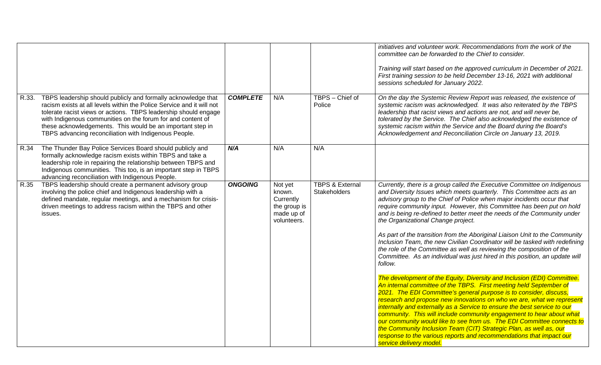|       |                                                                                                                                                                                                                                                                                                                                                                                                 |                 |                                                                             |                                            | initiatives and volunteer work. Recommendations from the work of the<br>committee can be forwarded to the Chief to consider.<br>Training will start based on the approved curriculum in December of 2021.<br>First training session to be held December 13-16, 2021 with additional<br>sessions scheduled for January 2022.                                                                                                                                                                                                                                                                                                                                                                                                                                                                                                                                                                                                                                                                                                                                                                                                                                                                                                                                                                                                                                                                                                                                 |
|-------|-------------------------------------------------------------------------------------------------------------------------------------------------------------------------------------------------------------------------------------------------------------------------------------------------------------------------------------------------------------------------------------------------|-----------------|-----------------------------------------------------------------------------|--------------------------------------------|-------------------------------------------------------------------------------------------------------------------------------------------------------------------------------------------------------------------------------------------------------------------------------------------------------------------------------------------------------------------------------------------------------------------------------------------------------------------------------------------------------------------------------------------------------------------------------------------------------------------------------------------------------------------------------------------------------------------------------------------------------------------------------------------------------------------------------------------------------------------------------------------------------------------------------------------------------------------------------------------------------------------------------------------------------------------------------------------------------------------------------------------------------------------------------------------------------------------------------------------------------------------------------------------------------------------------------------------------------------------------------------------------------------------------------------------------------------|
| R.33. | TBPS leadership should publicly and formally acknowledge that<br>racism exists at all levels within the Police Service and it will not<br>tolerate racist views or actions. TBPS leadership should engage<br>with Indigenous communities on the forum for and content of<br>these acknowledgements. This would be an important step in<br>TBPS advancing reconciliation with Indigenous People. | <b>COMPLETE</b> | N/A                                                                         | TBPS - Chief of<br>Police                  | On the day the Systemic Review Report was released, the existence of<br>systemic racism was acknowledged. It was also reiterated by the TBPS<br>leadership that racist views and actions are not, and will never be,<br>tolerated by the Service. The Chief also acknowledged the existence of<br>systemic racism within the Service and the Board during the Board's<br>Acknowledgement and Reconciliation Circle on January 13, 2019.                                                                                                                                                                                                                                                                                                                                                                                                                                                                                                                                                                                                                                                                                                                                                                                                                                                                                                                                                                                                                     |
| R.34  | The Thunder Bay Police Services Board should publicly and<br>formally acknowledge racism exists within TBPS and take a<br>leadership role in repairing the relationship between TBPS and<br>Indigenous communities. This too, is an important step in TBPS<br>advancing reconciliation with Indigenous People.                                                                                  | N/A             | N/A                                                                         | N/A                                        |                                                                                                                                                                                                                                                                                                                                                                                                                                                                                                                                                                                                                                                                                                                                                                                                                                                                                                                                                                                                                                                                                                                                                                                                                                                                                                                                                                                                                                                             |
| R.35  | TBPS leadership should create a permanent advisory group<br>involving the police chief and Indigenous leadership with a<br>defined mandate, regular meetings, and a mechanism for crisis-<br>driven meetings to address racism within the TBPS and other<br>issues.                                                                                                                             | <b>ONGOING</b>  | Not yet<br>known.<br>Currently<br>the group is<br>made up of<br>volunteers. | <b>TBPS &amp; External</b><br>Stakeholders | Currently, there is a group called the Executive Committee on Indigenous<br>and Diversity Issues which meets quarterly. This Committee acts as an<br>advisory group to the Chief of Police when major incidents occur that<br>require community input. However, this Committee has been put on hold<br>and is being re-defined to better meet the needs of the Community under<br>the Organizational Change project.<br>As part of the transition from the Aboriginal Liaison Unit to the Community<br>Inclusion Team, the new Civilian Coordinator will be tasked with redefining<br>the role of the Committee as well as reviewing the composition of the<br>Committee. As an individual was just hired in this position, an update will<br>follow.<br>The development of the Equity, Diversity and Inclusion (EDI) Committee.<br>An internal committee of the TBPS. First meeting held September of<br>2021. The EDI Committee's general purpose is to consider, discuss,<br>research and propose new innovations on who we are, what we represent<br>internally and externally as a Service to ensure the best service to our<br>community. This will include community engagement to hear about what<br>our community would like to see from us. The EDI Committee connects to<br>the Community Inclusion Team (CIT) Strategic Plan, as well as, our<br>response to the various reports and recommendations that impact our<br>service delivery model. |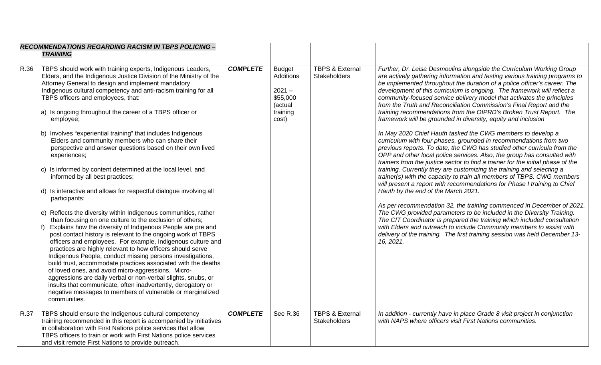| <b>TRAINING</b><br>TBPS should work with training experts, Indigenous Leaders,<br>Elders, and the Indigenous Justice Division of the Ministry of the<br>Attorney General to design and implement mandatory<br>Indigenous cultural competency and anti-racism training for all<br>TBPS officers and employees, that:<br>a) Is ongoing throughout the career of a TBPS officer or<br>employee;<br>b) Involves "experiential training" that includes Indigenous<br>Elders and community members who can share their                                                                                                                                                                                            | <b>COMPLETE</b>                                                                                                                                                                                                                                                                                                                                                                                                                                                                                                                                     | <b>Budget</b><br>Additions<br>$2021 -$<br>\$55,000<br>(actual<br>training<br>cost) | <b>TBPS &amp; External</b><br><b>Stakeholders</b> | Further, Dr. Leisa Desmoulins alongside the Curriculum Working Group<br>are actively gathering information and testing various training programs to<br>be implemented throughout the duration of a police officer's career. The<br>development of this curriculum is ongoing. The framework will reflect a<br>community-focused service delivery model that activates the principles<br>from the Truth and Reconciliation Commission's Final Report and the<br>training recommendations from the OIPRD's Broken Trust Report. The<br>framework will be grounded in diversity, equity and inclusion                                                                                                                                                                                                                                                                                                                                                                                                                                               |
|-------------------------------------------------------------------------------------------------------------------------------------------------------------------------------------------------------------------------------------------------------------------------------------------------------------------------------------------------------------------------------------------------------------------------------------------------------------------------------------------------------------------------------------------------------------------------------------------------------------------------------------------------------------------------------------------------------------|-----------------------------------------------------------------------------------------------------------------------------------------------------------------------------------------------------------------------------------------------------------------------------------------------------------------------------------------------------------------------------------------------------------------------------------------------------------------------------------------------------------------------------------------------------|------------------------------------------------------------------------------------|---------------------------------------------------|--------------------------------------------------------------------------------------------------------------------------------------------------------------------------------------------------------------------------------------------------------------------------------------------------------------------------------------------------------------------------------------------------------------------------------------------------------------------------------------------------------------------------------------------------------------------------------------------------------------------------------------------------------------------------------------------------------------------------------------------------------------------------------------------------------------------------------------------------------------------------------------------------------------------------------------------------------------------------------------------------------------------------------------------------|
|                                                                                                                                                                                                                                                                                                                                                                                                                                                                                                                                                                                                                                                                                                             |                                                                                                                                                                                                                                                                                                                                                                                                                                                                                                                                                     |                                                                                    |                                                   |                                                                                                                                                                                                                                                                                                                                                                                                                                                                                                                                                                                                                                                                                                                                                                                                                                                                                                                                                                                                                                                  |
| perspective and answer questions based on their own lived<br>experiences;<br>informed by all best practices;<br>participants;<br>than focusing on one culture to the exclusion of others;<br>Explains how the diversity of Indigenous People are pre and<br>post contact history is relevant to the ongoing work of TBPS<br>officers and employees. For example, Indigenous culture and<br>practices are highly relevant to how officers should serve<br>Indigenous People, conduct missing persons investigations,<br>build trust, accommodate practices associated with the deaths<br>of loved ones, and avoid micro-aggressions. Micro-<br>aggressions are daily verbal or non-verbal slights, snubs, or |                                                                                                                                                                                                                                                                                                                                                                                                                                                                                                                                                     |                                                                                    |                                                   | In May 2020 Chief Hauth tasked the CWG members to develop a<br>curriculum with four phases, grounded in recommendations from two<br>previous reports. To date, the CWG has studied other curricula from the<br>OPP and other local police services. Also, the group has consulted with<br>trainers from the justice sector to find a trainer for the initial phase of the<br>training. Currently they are customizing the training and selecting a<br>trainer(s) with the capacity to train all members of TBPS. CWG members<br>will present a report with recommendations for Phase I training to Chief<br>Hauth by the end of the March 2021.<br>As per recommendation 32, the training commenced in December of 2021.<br>The CWG provided parameters to be included in the Diversity Training.<br>The CIT Coordinator is prepared the training which included consultation<br>with Elders and outreach to include Community members to assist with<br>delivery of the training. The first training session was held December 13-<br>16, 2021. |
| negative messages to members of vulnerable or marginalized<br>communities.                                                                                                                                                                                                                                                                                                                                                                                                                                                                                                                                                                                                                                  | <b>COMPLETE</b>                                                                                                                                                                                                                                                                                                                                                                                                                                                                                                                                     | See R.36                                                                           | <b>TBPS &amp; External</b><br><b>Stakeholders</b> | In addition - currently have in place Grade 8 visit project in conjunction<br>with NAPS where officers visit First Nations communities.                                                                                                                                                                                                                                                                                                                                                                                                                                                                                                                                                                                                                                                                                                                                                                                                                                                                                                          |
|                                                                                                                                                                                                                                                                                                                                                                                                                                                                                                                                                                                                                                                                                                             | c) Is informed by content determined at the local level, and<br>d) Is interactive and allows for respectful dialogue involving all<br>e) Reflects the diversity within Indigenous communities, rather<br>$f$ )<br>insults that communicate, often inadvertently, derogatory or<br>TBPS should ensure the Indigenous cultural competency<br>training recommended in this report is accompanied by initiatives<br>in collaboration with First Nations police services that allow<br>TBPS officers to train or work with First Nations police services |                                                                                    |                                                   | and visit remote First Nations to provide outreach.                                                                                                                                                                                                                                                                                                                                                                                                                                                                                                                                                                                                                                                                                                                                                                                                                                                                                                                                                                                              |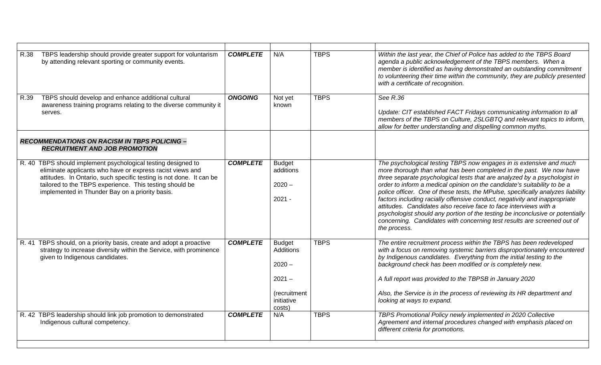| TBPS leadership should provide greater support for voluntarism<br>R.38<br>by attending relevant sporting or community events.                                                                                                                                                                                   | <b>COMPLETE</b> | N/A                                                                                               | <b>TBPS</b> | Within the last year, the Chief of Police has added to the TBPS Board<br>agenda a public acknowledgement of the TBPS members. When a<br>member is identified as having demonstrated an outstanding commitment<br>to volunteering their time within the community, they are publicly presented<br>with a certificate of recognition.                                                                                                                                                                                                                                                                                                                                                                                   |
|-----------------------------------------------------------------------------------------------------------------------------------------------------------------------------------------------------------------------------------------------------------------------------------------------------------------|-----------------|---------------------------------------------------------------------------------------------------|-------------|-----------------------------------------------------------------------------------------------------------------------------------------------------------------------------------------------------------------------------------------------------------------------------------------------------------------------------------------------------------------------------------------------------------------------------------------------------------------------------------------------------------------------------------------------------------------------------------------------------------------------------------------------------------------------------------------------------------------------|
| TBPS should develop and enhance additional cultural<br>R.39<br>awareness training programs relating to the diverse community it<br>serves.                                                                                                                                                                      | <b>ONGOING</b>  | Not yet<br>known                                                                                  | <b>TBPS</b> | See R.36<br>Update: CIT established FACT Fridays communicating information to all<br>members of the TBPS on Culture, 2SLGBTQ and relevant topics to inform,<br>allow for better understanding and dispelling common myths.                                                                                                                                                                                                                                                                                                                                                                                                                                                                                            |
| <b>RECOMMENDATIONS ON RACISM IN TBPS POLICING -</b><br><b>RECRUITMENT AND JOB PROMOTION</b>                                                                                                                                                                                                                     |                 |                                                                                                   |             |                                                                                                                                                                                                                                                                                                                                                                                                                                                                                                                                                                                                                                                                                                                       |
| R. 40 TBPS should implement psychological testing designed to<br>eliminate applicants who have or express racist views and<br>attitudes. In Ontario, such specific testing is not done. It can be<br>tailored to the TBPS experience. This testing should be<br>implemented in Thunder Bay on a priority basis. | <b>COMPLETE</b> | <b>Budget</b><br>additions<br>$2020 -$<br>$2021 -$                                                |             | The psychological testing TBPS now engages in is extensive and much<br>more thorough than what has been completed in the past. We now have<br>three separate psychological tests that are analyzed by a psychologist in<br>order to inform a medical opinion on the candidate's suitability to be a<br>police officer. One of these tests, the MPulse, specifically analyzes liability<br>factors including racially offensive conduct, negativity and inappropriate<br>attitudes. Candidates also receive face to face interviews with a<br>psychologist should any portion of the testing be inconclusive or potentially<br>concerning. Candidates with concerning test results are screened out of<br>the process. |
| R. 41 TBPS should, on a priority basis, create and adopt a proactive<br>strategy to increase diversity within the Service, with prominence<br>given to Indigenous candidates.                                                                                                                                   | <b>COMPLETE</b> | <b>Budget</b><br><b>Additions</b><br>$2020 -$<br>$2021 -$<br>(recruitment<br>initiative<br>costs) | <b>TBPS</b> | The entire recruitment process within the TBPS has been redeveloped<br>with a focus on removing systemic barriers disproportionately encountered<br>by Indigenous candidates. Everything from the initial testing to the<br>background check has been modified or is completely new.<br>A full report was provided to the TBPSB in January 2020<br>Also, the Service is in the process of reviewing its HR department and<br>looking at ways to expand.                                                                                                                                                                                                                                                               |
| R. 42 TBPS leadership should link job promotion to demonstrated<br>Indigenous cultural competency.                                                                                                                                                                                                              | <b>COMPLETE</b> | N/A                                                                                               | <b>TBPS</b> | TBPS Promotional Policy newly implemented in 2020 Collective<br>Agreement and internal procedures changed with emphasis placed on<br>different criteria for promotions.                                                                                                                                                                                                                                                                                                                                                                                                                                                                                                                                               |